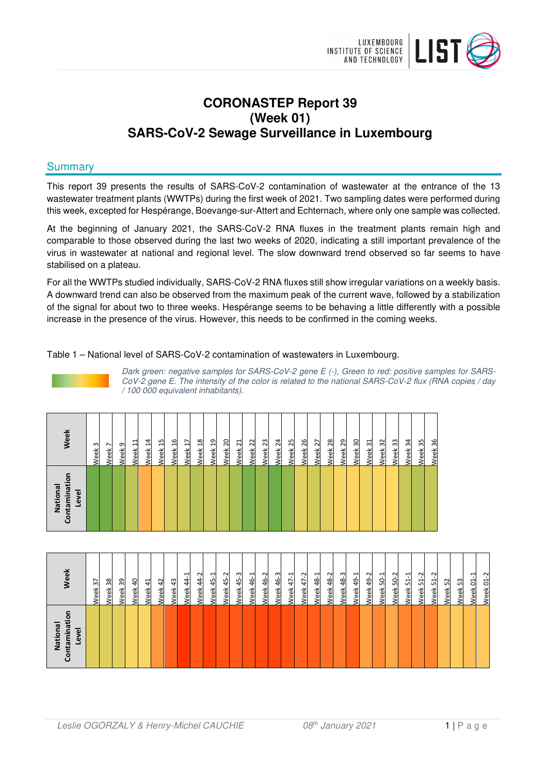

# **CORONASTEP Report 39 (Week 01) SARS-CoV-2 Sewage Surveillance in Luxembourg**

# **Summary**

This report 39 presents the results of SARS-CoV-2 contamination of wastewater at the entrance of the 13 wastewater treatment plants (WWTPs) during the first week of 2021. Two sampling dates were performed during this week, excepted for Hespérange, Boevange-sur-Attert and Echternach, where only one sample was collected.

At the beginning of January 2021, the SARS-CoV-2 RNA fluxes in the treatment plants remain high and comparable to those observed during the last two weeks of 2020, indicating a still important prevalence of the virus in wastewater at national and regional level. The slow downward trend observed so far seems to have stabilised on a plateau.

For all the WWTPs studied individually, SARS-CoV-2 RNA fluxes still show irregular variations on a weekly basis. A downward trend can also be observed from the maximum peak of the current wave, followed by a stabilization of the signal for about two to three weeks. Hespérange seems to be behaving a little differently with a possible increase in the presence of the virus. However, this needs to be confirmed in the coming weeks.

#### Table 1 – National level of SARS-CoV-2 contamination of wastewaters in Luxembourg.



Dark green: negative samples for SARS-CoV-2 gene E (-), Green to red: positive samples for SARS-CoV-2 gene E. The intensity of the color is related to the national SARS-CoV-2 flux (RNA copies / day / 100 000 equivalent inhabitants).

| o<br>Contaminati<br>National<br>Level | Week               |
|---------------------------------------|--------------------|
|                                       | Week <sub>3</sub>  |
|                                       | Week <sub>7</sub>  |
|                                       | Week <sub>9</sub>  |
|                                       | Week 11            |
|                                       | Week <sub>14</sub> |
|                                       | Week <sub>15</sub> |
|                                       | Week 16            |
|                                       | Week <sub>17</sub> |
|                                       | Week <sub>18</sub> |
|                                       | Week <sub>19</sub> |
|                                       | Week <sub>20</sub> |
|                                       | Week 21            |
|                                       | Week <sub>22</sub> |
|                                       | Week <sub>23</sub> |
|                                       | Week 24            |
|                                       | Week <sub>25</sub> |
|                                       | Week <sub>26</sub> |
|                                       | Week <sub>27</sub> |
|                                       | Week <sub>28</sub> |
|                                       | Week <sub>29</sub> |
|                                       | Week <sub>30</sub> |
|                                       | Week 31            |
|                                       | Week 32            |
|                                       | Week <sub>33</sub> |
|                                       | Week 34            |
|                                       | Week 35            |
|                                       | Week 36            |

| ō<br>ntaminati<br>National<br>Level<br>පි | <b>Veek</b>                       |
|-------------------------------------------|-----------------------------------|
|                                           | $\overline{37}$<br>Week.          |
|                                           | Week 38                           |
|                                           | 39<br>Week                        |
|                                           | ុ<br>Week                         |
|                                           | 싀<br>Week                         |
|                                           | Week 42                           |
|                                           | Week 43                           |
|                                           | 7<br>Week 44                      |
|                                           | $\sim$<br>4<br>Week               |
|                                           | ⊣<br>45<br>Week                   |
|                                           | Ņ<br>45<br>Week                   |
|                                           | Week 45-3                         |
|                                           | Week 46-1                         |
|                                           | Ņ<br>46<br>Week                   |
|                                           | $\mathsf{m}$<br>46<br><b>Jeek</b> |
|                                           | ⊣<br>47<br>Week                   |
|                                           | Week 47-2                         |
|                                           | Week 48-1                         |
|                                           | Week 48-2                         |
|                                           | က္<br>$48 -$<br>Week              |
|                                           | $49 - 1$<br>Week                  |
|                                           | Week 49-2                         |
|                                           | Week 50-1                         |
|                                           | Week 50-2                         |
|                                           | ٣<br>Week 51                      |
|                                           | $\sim$<br>임<br><b>Jeek</b>        |
|                                           | N<br>2<br>Week                    |
|                                           | Week 52                           |
|                                           | Week 53                           |
|                                           | ᇦ<br>Week 01                      |
|                                           | 5<br>Week                         |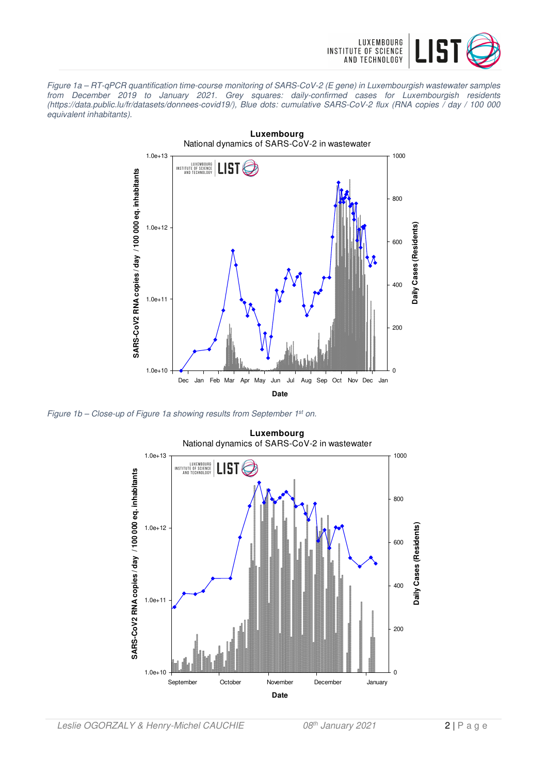

Figure 1a – RT-qPCR quantification time-course monitoring of SARS-CoV-2 (E gene) in Luxembourgish wastewater samples from December 2019 to January 2021. Grey squares: daily-confirmed cases for Luxembourgish residents (https://data.public.lu/fr/datasets/donnees-covid19/), Blue dots: cumulative SARS-CoV-2 flux (RNA copies / day / 100 000 equivalent inhabitants).



Figure 1b - Close-up of Figure 1a showing results from September 1<sup>st</sup> on.

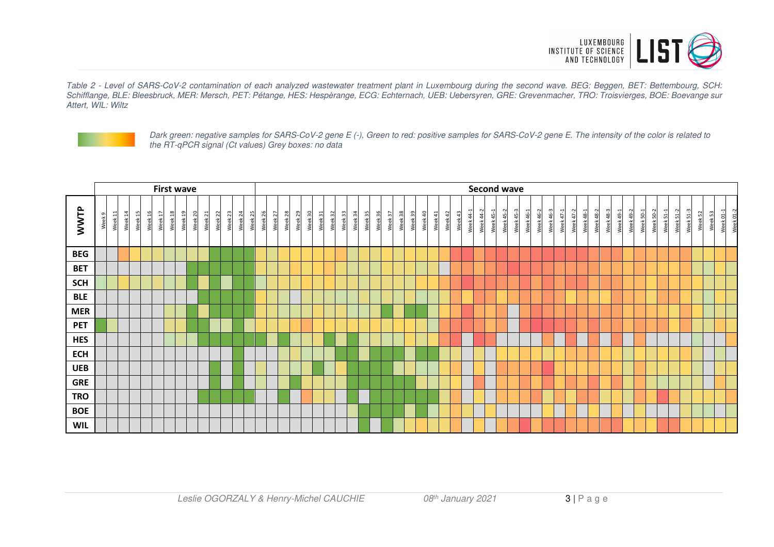

Table 2 - Level of SARS-CoV-2 contamination of each analyzed wastewater treatment plant in Luxembourg during the second wave. BEG: Beggen, BET: Bettembourg, SCH: Schifflange, BLE: Bleesbruck, MER: Mersch, PET: Pétange, HES: Hespèrange, ECG: Echternach, UEB: Uebersyren, GRE: Grevenmacher, TRO: Troisvierges, BOE: Boevange sur Attert, WIL: Wiltz



Dark green: negative samples for SARS-CoV-2 gene E (-), Green to red: positive samples for SARS-CoV-2 gene E. The intensity of the color is related to the RT-qPCR signal (Ct values) Grey boxes: no data

|             | <b>First wave</b> |         |         |         |         |         |         |                        |         |         |         |            |                         |         |         |         |            |         |         |         |                         |         |         |            |         |      |         |         |         |                    | <b>Second wave</b> |         |           |                      |           |           |                  |           |                                 |              |                  |           |           |                     |           |           |                  |                                                                                                       |           |                         |                 |         |         |           |           |
|-------------|-------------------|---------|---------|---------|---------|---------|---------|------------------------|---------|---------|---------|------------|-------------------------|---------|---------|---------|------------|---------|---------|---------|-------------------------|---------|---------|------------|---------|------|---------|---------|---------|--------------------|--------------------|---------|-----------|----------------------|-----------|-----------|------------------|-----------|---------------------------------|--------------|------------------|-----------|-----------|---------------------|-----------|-----------|------------------|-------------------------------------------------------------------------------------------------------|-----------|-------------------------|-----------------|---------|---------|-----------|-----------|
| <b>WWTP</b> | Week 9            | Week 11 | Week 14 | Week 15 | Week 16 | Week 17 | Week 18 | $\overline{a}$<br>Week | Week 20 | Week 21 | Week 22 | 23<br>Week | $\overline{24}$<br>Week | Week 25 | Week 26 | Week 27 | 28<br>Week | Week 29 | Week 30 | Week 31 | $\overline{32}$<br>Week | Week 33 | Week 34 | 55<br>Week | Week 36 | Week | Week 38 | Week 39 | Week 40 | $\ddot{ }$<br>Week | Week 42            | Week 43 | Week 44-1 | $\sim$<br>वै<br>Week | Week 45-1 | Week 45-2 | $45 - 3$<br>Week | Week 46-1 | $\sim$<br>$\frac{6}{4}$<br>Week | 46-3<br>Week | $47 - 1$<br>Week | Week 47-2 | Week 48-1 | $\sim$<br>Week 48-2 | Week 48-3 | Week 49-1 | <b>Week 49-2</b> | $\mathbf{\mathbf{\mathbf{\mathbf{\mathbf{\mathbf{\mathbf{\mathbf{\mathbf{H}}}}}}}}$<br>$50 -$<br>Week | Week 50-2 | Week 51-2<br>51<br>Week | 3<br>51<br>Week | Week 52 | Week 53 | Week 01-1 | Week 01-2 |
| <b>BEG</b>  |                   |         |         |         |         |         |         |                        |         |         |         |            |                         |         |         |         |            |         |         |         |                         |         |         |            |         |      |         |         |         |                    |                    |         |           |                      |           |           |                  |           |                                 |              |                  |           |           |                     |           |           |                  |                                                                                                       |           |                         |                 |         |         |           |           |
| <b>BET</b>  |                   |         |         |         |         |         |         |                        |         |         |         |            |                         |         |         |         |            |         |         |         |                         |         |         |            |         |      |         |         |         |                    |                    |         |           |                      |           |           |                  |           |                                 |              |                  |           |           |                     |           |           |                  |                                                                                                       |           |                         |                 |         |         |           |           |
| <b>SCH</b>  |                   |         |         |         |         |         |         |                        |         |         |         |            |                         |         |         |         |            |         |         |         |                         |         |         |            |         |      |         |         |         |                    |                    |         |           |                      |           |           |                  |           |                                 |              |                  |           |           |                     |           |           |                  |                                                                                                       |           |                         |                 |         |         |           |           |
| <b>BLE</b>  |                   |         |         |         |         |         |         |                        |         |         |         |            |                         |         |         |         |            |         |         |         |                         |         |         |            |         |      |         |         |         |                    |                    |         |           |                      |           |           |                  |           |                                 |              |                  |           |           |                     |           |           |                  |                                                                                                       |           |                         |                 |         |         |           |           |
| <b>MER</b>  |                   |         |         |         |         |         |         |                        |         |         |         |            |                         |         |         |         |            |         |         |         |                         |         |         |            |         |      |         |         |         |                    |                    |         |           |                      |           |           |                  |           |                                 |              |                  |           |           |                     |           |           |                  |                                                                                                       |           |                         |                 |         |         |           |           |
| <b>PET</b>  |                   |         |         |         |         |         |         |                        |         |         |         |            |                         |         |         |         |            |         |         |         |                         |         |         |            |         |      |         |         |         |                    |                    |         |           |                      |           |           |                  |           |                                 |              |                  |           |           |                     |           |           |                  |                                                                                                       |           |                         |                 |         |         |           |           |
| <b>HES</b>  |                   |         |         |         |         |         |         |                        |         |         |         |            |                         |         |         |         |            |         |         |         |                         |         |         |            |         |      |         |         |         |                    |                    |         |           |                      |           |           |                  |           |                                 |              |                  |           |           |                     |           |           |                  |                                                                                                       |           |                         |                 |         |         |           |           |
| <b>ECH</b>  |                   |         |         |         |         |         |         |                        |         |         |         |            |                         |         |         |         |            |         |         |         |                         |         |         |            |         |      |         |         |         |                    |                    |         |           |                      |           |           |                  |           |                                 |              |                  |           |           |                     |           |           |                  |                                                                                                       |           |                         |                 |         |         |           |           |
| <b>UEB</b>  |                   |         |         |         |         |         |         |                        |         |         |         |            |                         |         |         |         |            |         |         |         |                         |         |         |            |         |      |         |         |         |                    |                    |         |           |                      |           |           |                  |           |                                 |              |                  |           |           |                     |           |           |                  |                                                                                                       |           |                         |                 |         |         |           |           |
| <b>GRE</b>  |                   |         |         |         |         |         |         |                        |         |         |         |            |                         |         |         |         |            |         |         |         |                         |         |         |            |         |      |         |         |         |                    |                    |         |           |                      |           |           |                  |           |                                 |              |                  |           |           |                     |           |           |                  |                                                                                                       |           |                         |                 |         |         |           |           |
| <b>TRO</b>  |                   |         |         |         |         |         |         |                        |         |         |         |            |                         |         |         |         |            |         |         |         |                         |         |         |            |         |      |         |         |         |                    |                    |         |           |                      |           |           |                  |           |                                 |              |                  |           |           |                     |           |           |                  |                                                                                                       |           |                         |                 |         |         |           |           |
| <b>BOE</b>  |                   |         |         |         |         |         |         |                        |         |         |         |            |                         |         |         |         |            |         |         |         |                         |         |         |            |         |      |         |         |         |                    |                    |         |           |                      |           |           |                  |           |                                 |              |                  |           |           |                     |           |           |                  |                                                                                                       |           |                         |                 |         |         |           |           |
| <b>WIL</b>  |                   |         |         |         |         |         |         |                        |         |         |         |            |                         |         |         |         |            |         |         |         |                         |         |         |            |         |      |         |         |         |                    |                    |         |           |                      |           |           |                  |           |                                 |              |                  |           |           |                     |           |           |                  |                                                                                                       |           |                         |                 |         |         |           |           |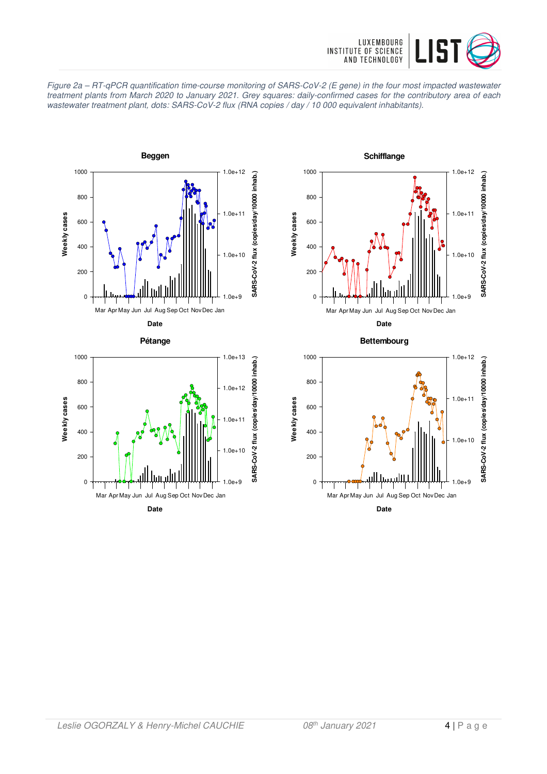











**Date** Mar Apr May Jun Jul Aug Sep Oct Nov Dec Jan

0

200

 $0.0$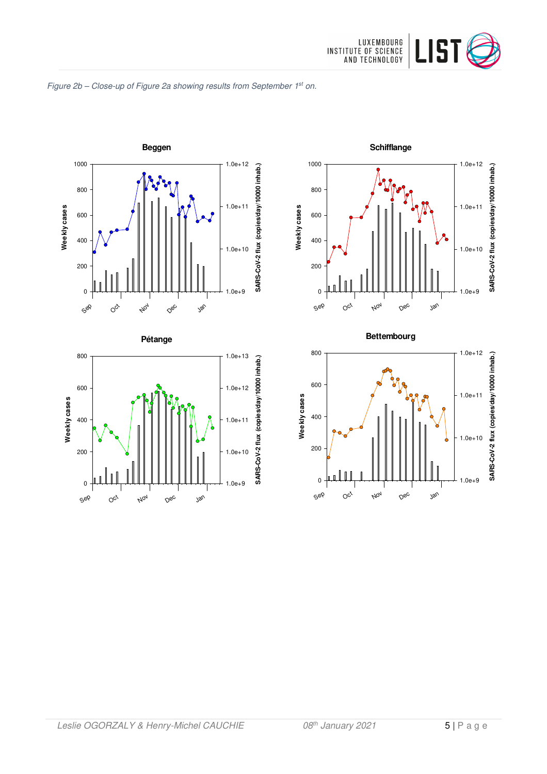











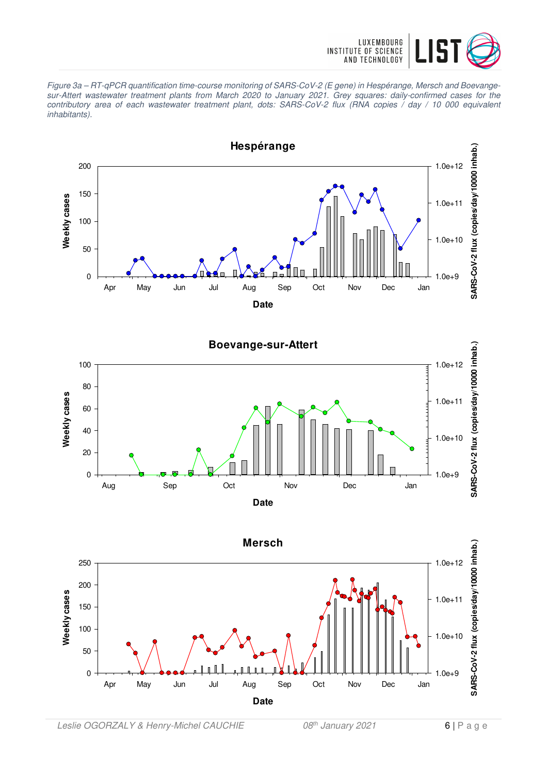

Figure 3a – RT-qPCR quantification time-course monitoring of SARS-CoV-2 (E gene) in Hespérange, Mersch and Boevangesur-Attert wastewater treatment plants from March 2020 to January 2021. Grey squares: daily-confirmed cases for the contributory area of each wastewater treatment plant, dots: SARS-CoV-2 flux (RNA copies / day / 10 000 equivalent inhabitants).

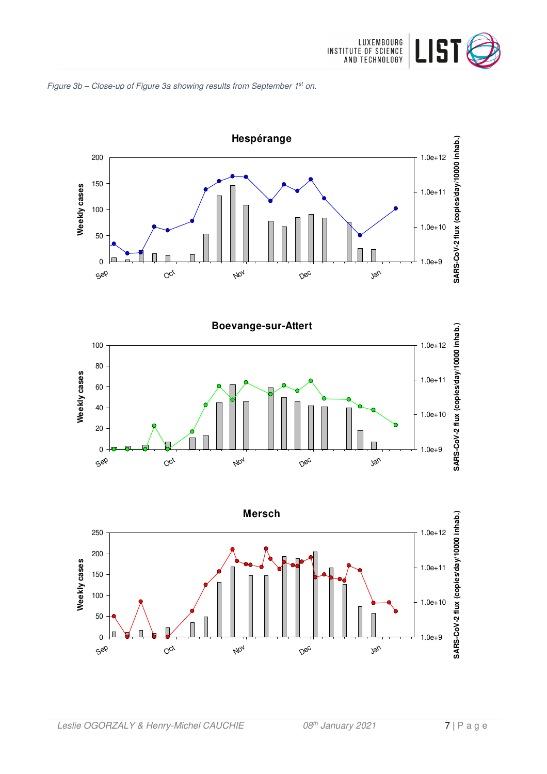







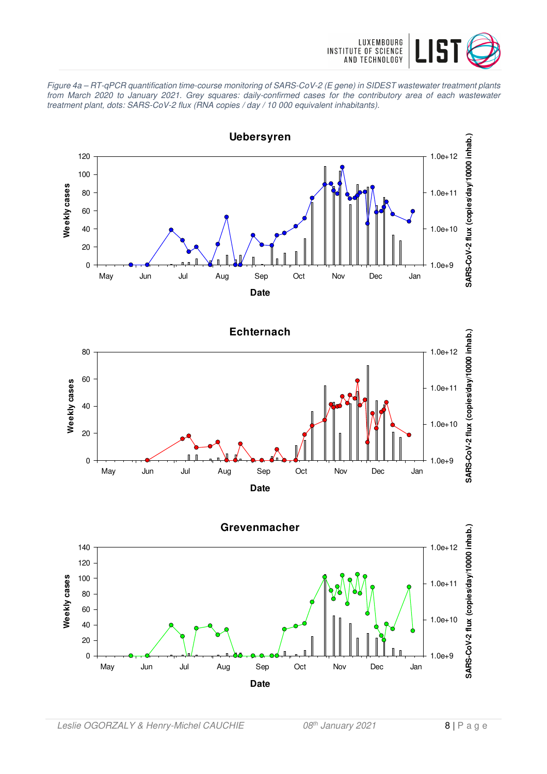

Figure 4a – RT-qPCR quantification time-course monitoring of SARS-CoV-2 (E gene) in SIDEST wastewater treatment plants from March 2020 to January 2021. Grey squares: daily-confirmed cases for the contributory area of each wastewater treatment plant, dots: SARS-CoV-2 flux (RNA copies / day / 10 000 equivalent inhabitants).





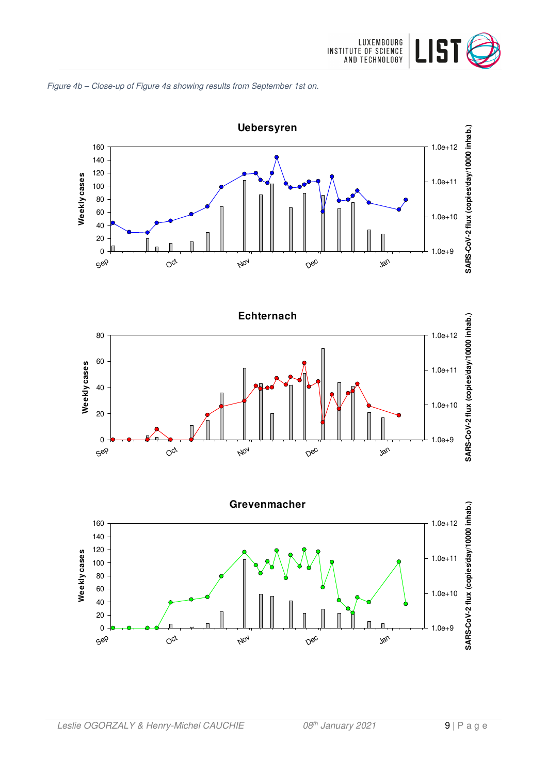







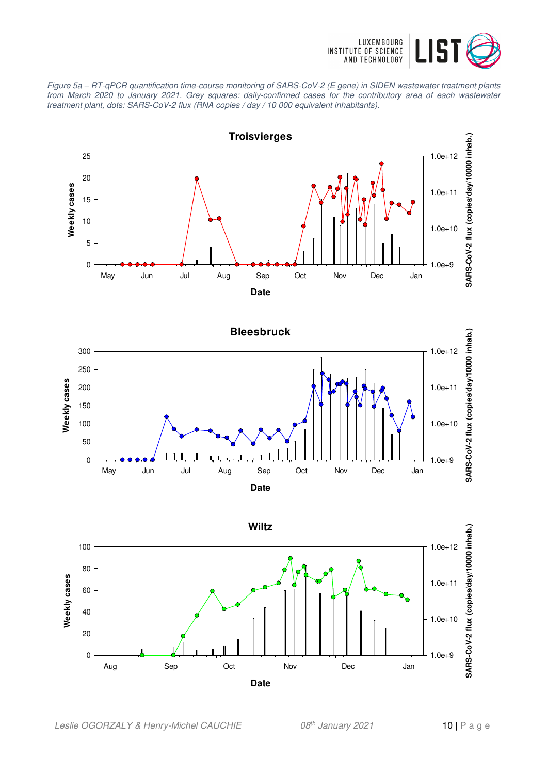

Figure 5a – RT-qPCR quantification time-course monitoring of SARS-CoV-2 (E gene) in SIDEN wastewater treatment plants from March 2020 to January 2021. Grey squares: daily-confirmed cases for the contributory area of each wastewater treatment plant, dots: SARS-CoV-2 flux (RNA copies / day / 10 000 equivalent inhabitants).





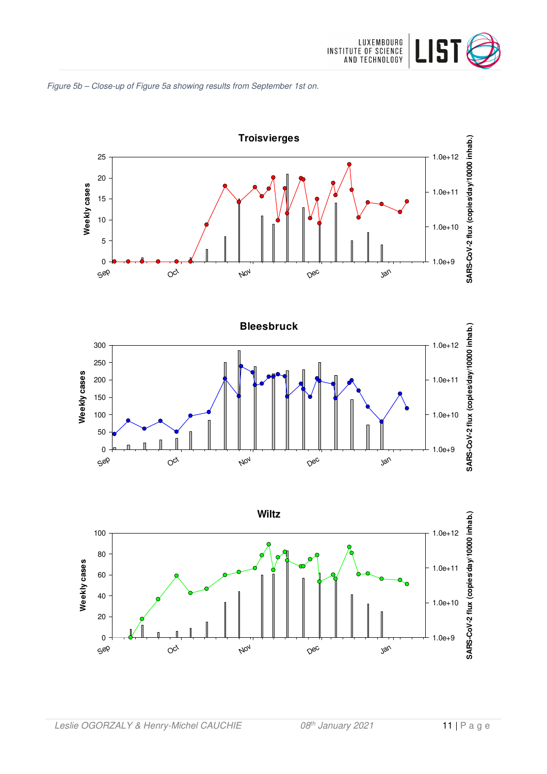





 $O_{Q_f}$ 

Nov

Sep

Jan

Dec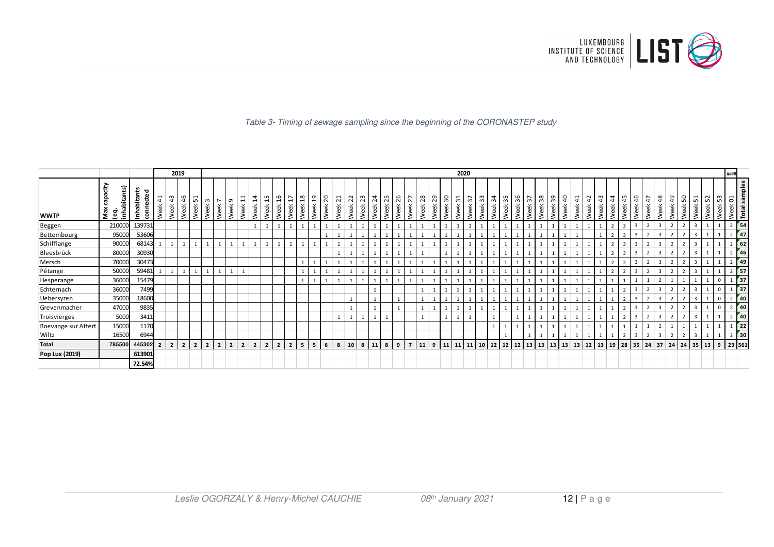

#### Table 3- Timing of sewage sampling since the beginning of the CORONASTEP study

|                     |                                |                                |                |                          | 2019           |                             |                      |      |                  |                                                 |                                                 |                             |            |                                          |                                    |            |                        |                                  |                          |                     |                 |                       |            |                          |            |                     |           |                                        | 2020                           |                           |                          |                            |            |                                        |            |      |                        |                                          |                        |      |                |                |                                           |                    |                         |                |                |                               |                     |                | ,,,,,,                 |                  |
|---------------------|--------------------------------|--------------------------------|----------------|--------------------------|----------------|-----------------------------|----------------------|------|------------------|-------------------------------------------------|-------------------------------------------------|-----------------------------|------------|------------------------------------------|------------------------------------|------------|------------------------|----------------------------------|--------------------------|---------------------|-----------------|-----------------------|------------|--------------------------|------------|---------------------|-----------|----------------------------------------|--------------------------------|---------------------------|--------------------------|----------------------------|------------|----------------------------------------|------------|------|------------------------|------------------------------------------|------------------------|------|----------------|----------------|-------------------------------------------|--------------------|-------------------------|----------------|----------------|-------------------------------|---------------------|----------------|------------------------|------------------|
| <b>WWTP</b>         | inhabitants)<br>Max<br>ିକ<br>କ | Inhabitants<br>ಾ<br>쁑<br>conne | 4<br>Week      | m<br>Week 43             | 46<br>Week     | $\overline{ }$<br>L<br>Week | $\mathsf{m}$<br>Week | Week | $\sim$ 0<br>Week | $\mathbf{\mathbf{H}}$<br>$\overline{ }$<br>Week | $\overline{a}$<br>$\mathbf{\mathbf{t}}$<br>Week | ம<br>$\overline{ }$<br>Week | 16<br>Week | $\overline{ }$<br>$\overline{ }$<br>Week | $\infty$<br>$\overline{ }$<br>Week | ຼິ<br>Week | $\overline{5}$<br>Week | $\overline{ }$<br>$\sim$<br>Week | $\sim$<br>$\sim$<br>Week | ന<br>$\sim$<br>Week | $^{24}$<br>Week | LO.<br>$\sim$<br>Week | 26<br>Week | $\sim$<br>$\sim$<br>Week | 28<br>Week | თ<br>$\sim$<br>Week | Ο<br>Week | $\overline{ }$<br>$\mathsf{m}$<br>Week | $\sim$<br>$\mathsf{m}$<br>Week | ന<br>$\mathsf{m}$<br>Week | $\overline{a}$<br>Week 3 | ທ∣<br>$\mathsf{m}$<br>Week | 36<br>Week | $\overline{2}$<br>$\mathsf{m}$<br>Week | 38<br>Week | Week | $\frac{9}{40}$<br>Week | $\overline{ }$<br>$\overline{4}$<br>Week | $\overline{a}$<br>Week | Week | $\frac{4}{3}$  | Week           | 46<br>45<br>Week                          | 47<br>Week<br>Week | 48<br>Week              | 49<br>Week     | 50<br>Week     | $\overline{ }$<br>LO.<br>Week | $\sim$<br>S<br>Week | m<br>S<br>Week | 5<br>Week <sup>1</sup> | Total samples    |
| Beggen              | 210000                         | 139731                         |                |                          |                |                             |                      |      |                  |                                                 |                                                 |                             |            |                                          |                                    |            |                        |                                  |                          |                     |                 |                       |            |                          |            |                     |           |                                        |                                |                           |                          |                            |            |                                        |            |      |                        |                                          |                        |      |                | $\overline{2}$ | $\overline{\mathbf{3}}$<br>$\overline{3}$ |                    | $\overline{3}$          |                | $\overline{2}$ |                               |                     |                | $2 \, 54$              |                  |
| Bettembourg         | 95000                          | 53606                          |                |                          |                |                             |                      |      |                  |                                                 |                                                 |                             |            |                                          |                                    |            |                        |                                  |                          |                     |                 |                       |            |                          |            |                     |           |                                        |                                |                           |                          |                            |            |                                        |            |      |                        |                                          |                        |      |                | $\overline{2}$ | $\overline{3}$<br>$\overline{\mathbf{3}}$ |                    |                         |                |                |                               |                     |                | $2 \mid 47$            |                  |
| Schifflange         | 90000                          | 68143                          |                |                          |                |                             |                      |      |                  |                                                 |                                                 |                             |            |                                          |                                    |            |                        |                                  |                          |                     |                 |                       |            |                          |            |                     |           |                                        |                                |                           |                          |                            |            |                                        |            |      |                        |                                          |                        |      |                |                |                                           |                    |                         |                |                |                               |                     |                |                        | 62               |
| Bleesbrück          | 80000                          | 30930                          |                |                          |                |                             |                      |      |                  |                                                 |                                                 |                             |            |                                          |                                    |            |                        |                                  |                          |                     |                 |                       |            |                          |            |                     |           |                                        |                                |                           |                          |                            |            |                                        |            |      |                        |                                          |                        |      | $\overline{2}$ |                | $\overline{\mathbf{3}}$<br>$\overline{3}$ |                    | $\overline{\mathbf{3}}$ |                | $\overline{2}$ |                               |                     |                | $2 \mid 46$            |                  |
| Mersch              | 70000                          | 30473                          |                |                          |                |                             |                      |      |                  |                                                 |                                                 |                             |            |                                          |                                    |            |                        |                                  |                          |                     |                 |                       |            |                          |            |                     |           |                                        |                                |                           |                          |                            |            |                                        |            |      |                        |                                          |                        |      |                | $\overline{2}$ | $\overline{3}$                            |                    | $\mathbf{3}$            |                |                |                               |                     |                | $2 \overline{49}$      |                  |
| Pétange             | 50000                          | 59481                          |                |                          |                |                             |                      |      |                  |                                                 |                                                 |                             |            |                                          |                                    |            |                        |                                  |                          |                     |                 |                       |            |                          |            |                     |           |                                        |                                |                           |                          |                            |            |                                        |            |      |                        |                                          |                        |      |                | $\overline{2}$ | $\overline{3}$                            |                    | 3                       |                |                |                               |                     |                |                        | 57               |
| Hesperange          | 36000                          | 15479                          |                |                          |                |                             |                      |      |                  |                                                 |                                                 |                             |            |                                          |                                    |            |                        |                                  |                          |                     |                 |                       |            |                          |            |                     |           |                                        |                                |                           |                          |                            |            |                                        |            |      |                        |                                          |                        |      |                |                |                                           |                    |                         |                |                |                               |                     |                |                        | $\frac{1}{2}$ 37 |
| Echternach          | 36000                          | 7499                           |                |                          |                |                             |                      |      |                  |                                                 |                                                 |                             |            |                                          |                                    |            |                        |                                  |                          |                     |                 |                       |            |                          |            |                     |           |                                        |                                |                           |                          |                            |            |                                        |            |      |                        |                                          |                        |      |                |                | $\overline{\mathbf{3}}$                   |                    | $\overline{\mathbf{3}}$ | $\overline{2}$ | $\overline{2}$ | $\mathbf{3}$                  |                     |                |                        | 137              |
| Uebersyren          | 35000                          | 18600                          |                |                          |                |                             |                      |      |                  |                                                 |                                                 |                             |            |                                          |                                    |            |                        |                                  |                          |                     |                 |                       |            |                          |            |                     |           |                                        |                                |                           |                          |                            |            |                                        |            |      |                        |                                          |                        |      |                |                | $\overline{\mathbf{3}}$                   |                    | $\overline{3}$          |                | $\overline{2}$ |                               |                     |                | $2 \mid 40$            |                  |
| Grevenmacher        | 47000                          | 9835                           |                |                          |                |                             |                      |      |                  |                                                 |                                                 |                             |            |                                          |                                    |            |                        |                                  |                          |                     |                 |                       |            |                          |            |                     |           |                                        |                                |                           |                          |                            |            |                                        |            |      |                        |                                          |                        |      |                |                | $\overline{\mathbf{3}}$<br>$\overline{ }$ |                    | $\overline{3}$          |                | $\overline{2}$ |                               |                     |                |                        | 140              |
| Troisvierges        | 5000                           | 3411                           |                |                          |                |                             |                      |      |                  |                                                 |                                                 |                             |            |                                          |                                    |            |                        |                                  |                          |                     |                 |                       |            |                          |            |                     |           |                                        |                                |                           |                          |                            |            |                                        |            |      |                        |                                          |                        |      |                |                |                                           |                    |                         |                |                |                               |                     |                |                        | 140              |
| Boevange sur Attert | 15000                          | 1170                           |                |                          |                |                             |                      |      |                  |                                                 |                                                 |                             |            |                                          |                                    |            |                        |                                  |                          |                     |                 |                       |            |                          |            |                     |           |                                        |                                |                           |                          |                            |            |                                        |            |      |                        |                                          |                        |      |                |                |                                           |                    |                         |                |                |                               |                     |                |                        | 122              |
| Wiltz               | 16500                          | 6944                           |                |                          |                |                             |                      |      |                  |                                                 |                                                 |                             |            |                                          |                                    |            |                        |                                  |                          |                     |                 |                       |            |                          |            |                     |           |                                        |                                |                           |                          |                            |            |                                        |            |      |                        |                                          |                        |      |                |                | $\overline{3}$                            |                    | $\overline{3}$          |                | $\overline{2}$ |                               |                     |                | $2 \mid 30 \mid$       |                  |
| <b>Total</b>        | 785500                         | 445302                         | $\overline{2}$ | $\overline{\phantom{a}}$ | $\overline{2}$ |                             |                      |      |                  |                                                 |                                                 |                             |            |                                          | 5                                  | 5          | 6                      | 8                                | 10                       | 8                   | 11              | 8                     | 9          |                          | 11         | 9                   | 11        |                                        |                                |                           |                          |                            |            |                                        |            |      |                        |                                          |                        |      |                |                |                                           |                    |                         |                |                |                               |                     | 9 23 561       |                        |                  |
| Pop Lux (2019)      |                                | 613901                         |                |                          |                |                             |                      |      |                  |                                                 |                                                 |                             |            |                                          |                                    |            |                        |                                  |                          |                     |                 |                       |            |                          |            |                     |           |                                        |                                |                           |                          |                            |            |                                        |            |      |                        |                                          |                        |      |                |                |                                           |                    |                         |                |                |                               |                     |                |                        |                  |
|                     |                                | 72.54%                         |                |                          |                |                             |                      |      |                  |                                                 |                                                 |                             |            |                                          |                                    |            |                        |                                  |                          |                     |                 |                       |            |                          |            |                     |           |                                        |                                |                           |                          |                            |            |                                        |            |      |                        |                                          |                        |      |                |                |                                           |                    |                         |                |                |                               |                     |                |                        |                  |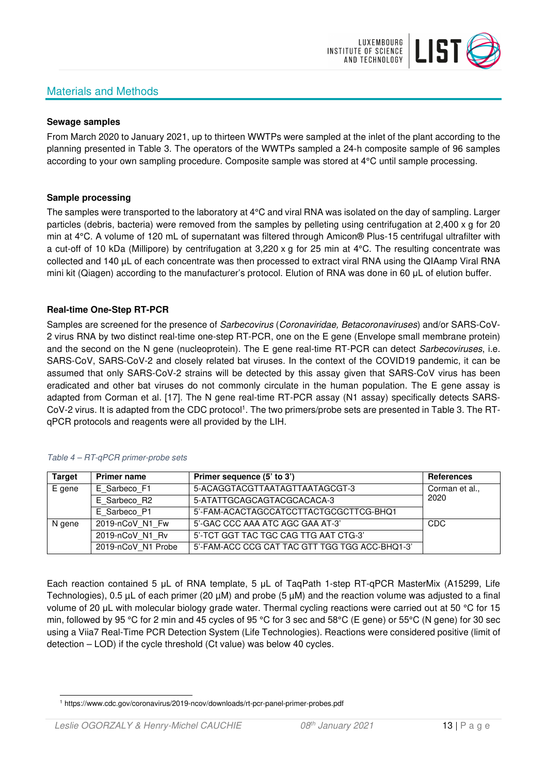# Materials and Methods



#### **Sewage samples**

From March 2020 to January 2021, up to thirteen WWTPs were sampled at the inlet of the plant according to the planning presented in Table 3. The operators of the WWTPs sampled a 24-h composite sample of 96 samples according to your own sampling procedure. Composite sample was stored at 4°C until sample processing.

#### **Sample processing**

The samples were transported to the laboratory at 4°C and viral RNA was isolated on the day of sampling. Larger particles (debris, bacteria) were removed from the samples by pelleting using centrifugation at 2,400 x g for 20 min at 4°C. A volume of 120 mL of supernatant was filtered through Amicon® Plus-15 centrifugal ultrafilter with a cut-off of 10 kDa (Millipore) by centrifugation at 3,220 x g for 25 min at 4°C. The resulting concentrate was collected and 140 µL of each concentrate was then processed to extract viral RNA using the QIAamp Viral RNA mini kit (Qiagen) according to the manufacturer's protocol. Elution of RNA was done in 60 μL of elution buffer.

#### **Real-time One-Step RT-PCR**

Samples are screened for the presence of *Sarbecovirus (Coronaviridae, Betacoronaviruses*) and/or SARS-CoV-2 virus RNA by two distinct real-time one-step RT-PCR, one on the E gene (Envelope small membrane protein) and the second on the N gene (nucleoprotein). The E gene real-time RT-PCR can detect Sarbecoviruses, i.e. SARS-CoV, SARS-CoV-2 and closely related bat viruses. In the context of the COVID19 pandemic, it can be assumed that only SARS-CoV-2 strains will be detected by this assay given that SARS-CoV virus has been eradicated and other bat viruses do not commonly circulate in the human population. The E gene assay is adapted from Corman et al. [17]. The N gene real-time RT-PCR assay (N1 assay) specifically detects SARS-CoV-2 virus. It is adapted from the CDC protocol<sup>1</sup>. The two primers/probe sets are presented in Table 3. The RTqPCR protocols and reagents were all provided by the LIH.

| <b>Target</b> | <b>Primer name</b> | Primer sequence (5' to 3')                     | <b>References</b> |
|---------------|--------------------|------------------------------------------------|-------------------|
| E gene        | E Sarbeco F1       | 5-ACAGGTACGTTAATAGTTAATAGCGT-3                 | Corman et al.,    |
|               | E Sarbeco R2       | 5-ATATTGCAGCAGTACGCACACA-3                     | 2020              |
|               | E Sarbeco P1       | 5'-FAM-ACACTAGCCATCCTTACTGCGCTTCG-BHQ1         |                   |
| N gene        | 2019-nCoV N1 Fw    | 5'-GAC CCC AAA ATC AGC GAA AT-3'               | CDC               |
|               | 2019-nCoV N1 Rv    | 5'-TCT GGT TAC TGC CAG TTG AAT CTG-3'          |                   |
|               | 2019-nCoV N1 Probe | 5'-FAM-ACC CCG CAT TAC GTT TGG TGG ACC-BHQ1-3' |                   |

#### Table 4 – RT-qPCR primer-probe sets

Each reaction contained 5 μL of RNA template, 5 μL of TaqPath 1-step RT-qPCR MasterMix (A15299, Life Technologies), 0.5 µL of each primer (20 µM) and probe (5 µM) and the reaction volume was adjusted to a final volume of 20 μL with molecular biology grade water. Thermal cycling reactions were carried out at 50 °C for 15 min, followed by 95 °C for 2 min and 45 cycles of 95 °C for 3 sec and 58°C (E gene) or 55°C (N gene) for 30 sec using a Viia7 Real-Time PCR Detection System (Life Technologies). Reactions were considered positive (limit of detection – LOD) if the cycle threshold (Ct value) was below 40 cycles.

<sup>1</sup> https://www.cdc.gov/coronavirus/2019-ncov/downloads/rt-pcr-panel-primer-probes.pdf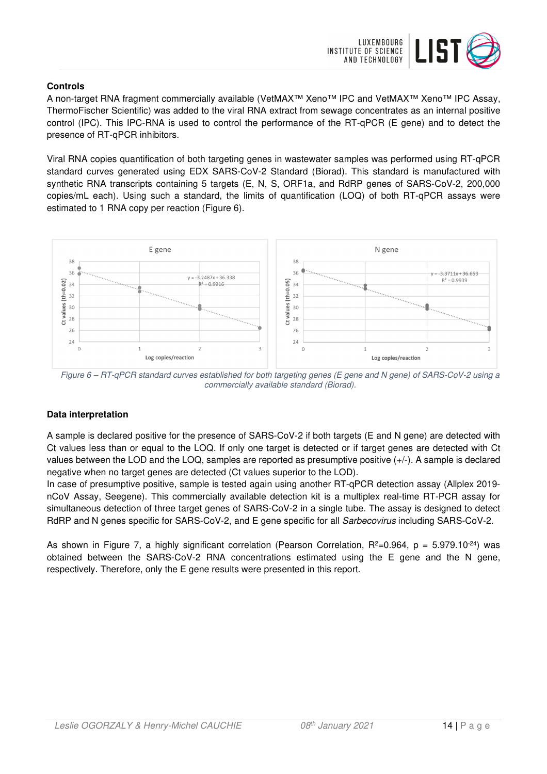

### **Controls**

A non-target RNA fragment commercially available (VetMAX™ Xeno™ IPC and VetMAX™ Xeno™ IPC Assay, ThermoFischer Scientific) was added to the viral RNA extract from sewage concentrates as an internal positive control (IPC). This IPC-RNA is used to control the performance of the RT-qPCR (E gene) and to detect the presence of RT-qPCR inhibitors.

Viral RNA copies quantification of both targeting genes in wastewater samples was performed using RT-qPCR standard curves generated using EDX SARS-CoV-2 Standard (Biorad). This standard is manufactured with synthetic RNA transcripts containing 5 targets (E, N, S, ORF1a, and RdRP genes of SARS-CoV-2, 200,000 copies/mL each). Using such a standard, the limits of quantification (LOQ) of both RT-qPCR assays were estimated to 1 RNA copy per reaction (Figure 6).



Figure 6 – RT-qPCR standard curves established for both targeting genes (E gene and N gene) of SARS-CoV-2 using a commercially available standard (Biorad).

## **Data interpretation**

A sample is declared positive for the presence of SARS-CoV-2 if both targets (E and N gene) are detected with Ct values less than or equal to the LOQ. If only one target is detected or if target genes are detected with Ct values between the LOD and the LOQ, samples are reported as presumptive positive (+/-). A sample is declared negative when no target genes are detected (Ct values superior to the LOD).

In case of presumptive positive, sample is tested again using another RT-qPCR detection assay (Allplex 2019 nCoV Assay, Seegene). This commercially available detection kit is a multiplex real-time RT-PCR assay for simultaneous detection of three target genes of SARS-CoV-2 in a single tube. The assay is designed to detect RdRP and N genes specific for SARS-CoV-2, and E gene specific for all Sarbecovirus including SARS-CoV-2.

As shown in Figure 7, a highly significant correlation (Pearson Correlation,  $R^2=0.964$ ,  $p = 5.979.10^{-24}$ ) was obtained between the SARS-CoV-2 RNA concentrations estimated using the E gene and the N gene, respectively. Therefore, only the E gene results were presented in this report.